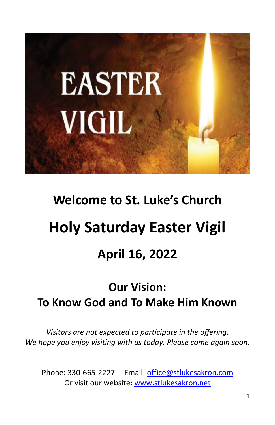

# **Welcome to St. Luke's Church Holy Saturday Easter Vigil**

## **April 16, 2022**

### **Our Vision: To Know God and To Make Him Known**

*Visitors are not expected to participate in the offering. We hope you enjoy visiting with us today. Please come again soon.* 

Phone: 330-665-2227 Email[: office@stlukesakron.com](mailto:office@stlukesakron.com) Or visit our website: [www.stlukesakron.net](http://www.stlukesakron.net/)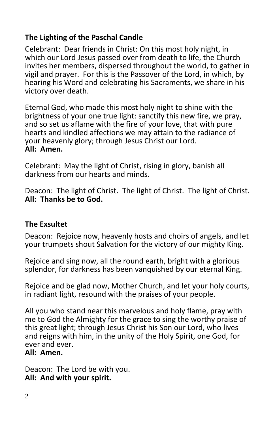#### **The Lighting of the Paschal Candle**

Celebrant: Dear friends in Christ: On this most holy night, in which our Lord Jesus passed over from death to life, the Church invites her members, dispersed throughout the world, to gather in vigil and prayer. For this is the Passover of the Lord, in which, by hearing his Word and celebrating his Sacraments, we share in his victory over death.

Eternal God, who made this most holy night to shine with the brightness of your one true light: sanctify this new fire, we pray, and so set us aflame with the fire of your love, that with pure hearts and kindled affections we may attain to the radiance of your heavenly glory; through Jesus Christ our Lord. **All: Amen.**

Celebrant: May the light of Christ, rising in glory, banish all darkness from our hearts and minds.

Deacon: The light of Christ. The light of Christ. The light of Christ. **All: Thanks be to God.**

#### **The Exsultet**

Deacon: Rejoice now, heavenly hosts and choirs of angels, and let your trumpets shout Salvation for the victory of our mighty King.

Rejoice and sing now, all the round earth, bright with a glorious splendor, for darkness has been vanquished by our eternal King.

Rejoice and be glad now, Mother Church, and let your holy courts, in radiant light, resound with the praises of your people.

All you who stand near this marvelous and holy flame, pray with me to God the Almighty for the grace to sing the worthy praise of this great light; through Jesus Christ his Son our Lord, who lives and reigns with him, in the unity of the Holy Spirit, one God, for ever and ever.

#### **All: Amen.**

Deacon: The Lord be with you. **All: And with your spirit.**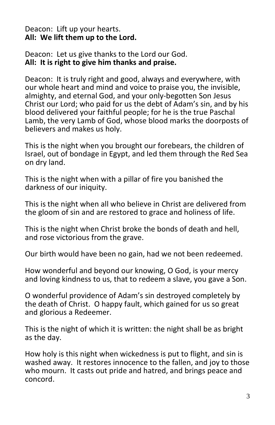#### Deacon: Lift up your hearts. **All: We lift them up to the Lord.**

Deacon: Let us give thanks to the Lord our God. **All: It is right to give him thanks and praise.**

Deacon: It is truly right and good, always and everywhere, with our whole heart and mind and voice to praise you, the invisible, almighty, and eternal God, and your only-begotten Son Jesus Christ our Lord; who paid for us the debt of Adam's sin, and by his blood delivered your faithful people; for he is the true Paschal Lamb, the very Lamb of God, whose blood marks the doorposts of believers and makes us holy.

This is the night when you brought our forebears, the children of Israel, out of bondage in Egypt, and led them through the Red Sea on dry land.

This is the night when with a pillar of fire you banished the darkness of our iniquity.

This is the night when all who believe in Christ are delivered from the gloom of sin and are restored to grace and holiness of life.

This is the night when Christ broke the bonds of death and hell, and rose victorious from the grave.

Our birth would have been no gain, had we not been redeemed.

How wonderful and beyond our knowing, O God, is your mercy and loving kindness to us, that to redeem a slave, you gave a Son.

O wonderful providence of Adam's sin destroyed completely by the death of Christ. O happy fault, which gained for us so great and glorious a Redeemer.

This is the night of which it is written: the night shall be as bright as the day.

How holy is this night when wickedness is put to flight, and sin is washed away. It restores innocence to the fallen, and joy to those who mourn. It casts out pride and hatred, and brings peace and concord.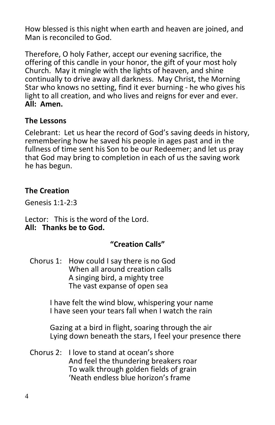How blessed is this night when earth and heaven are joined, and Man is reconciled to God.

Therefore, O holy Father, accept our evening sacrifice, the offering of this candle in your honor, the gift of your most holy Church. May it mingle with the lights of heaven, and shine continually to drive away all darkness. May Christ, the Morning Star who knows no setting, find it ever burning - he who gives his light to all creation, and who lives and reigns for ever and ever. **All: Amen.**

#### **The Lessons**

Celebrant: Let us hear the record of God's saving deeds in history, remembering how he saved his people in ages past and in the fullness of time sent his Son to be our Redeemer; and let us pray that God may bring to completion in each of us the saving work he has begun.

#### **The Creation**

Genesis 1:1-2:3

#### Lector: This is the word of the Lord. **All: Thanks be to God.**

#### **"Creation Calls"**

 Chorus 1: How could I say there is no God When all around creation calls A singing bird, a mighty tree The vast expanse of open sea

> I have felt the wind blow, whispering your name I have seen your tears fall when I watch the rain

Gazing at a bird in flight, soaring through the air Lying down beneath the stars, I feel your presence there

 Chorus 2: I love to stand at ocean's shore And feel the thundering breakers roar To walk through golden fields of grain 'Neath endless blue horizon's frame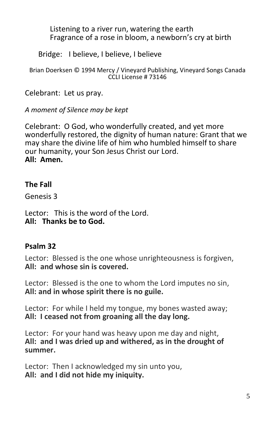Listening to a river run, watering the earth Fragrance of a rose in bloom, a newborn's cry at birth

Bridge: I believe, I believe, I believe

Brian Doerksen © 1994 Mercy / Vineyard Publishing, Vineyard Songs Canada CCLI License # 73146

Celebrant: Let us pray.

*A moment of Silence may be kept*

Celebrant: O God, who wonderfully created, and yet more wonderfully restored, the dignity of human nature: Grant that we may share the divine life of him who humbled himself to share our humanity, your Son Jesus Christ our Lord. **All: Amen.**

#### **The Fall**

Genesis 3

Lector: This is the word of the Lord. **All: Thanks be to God.** 

#### **Psalm 32**

Lector: Blessed is the one whose unrighteousness is forgiven, **All: and whose sin is covered.**

Lector: Blessed is the one to whom the Lord imputes no sin, **All: and in whose spirit there is no guile.**

Lector: For while I held my tongue, my bones wasted away; **All: I ceased not from groaning all the day long.**

Lector: For your hand was heavy upon me day and night, **All: and I was dried up and withered, as in the drought of summer.**

Lector: Then I acknowledged my sin unto you, **All: and I did not hide my iniquity.**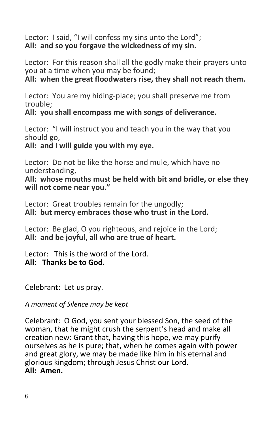Lector: I said, "I will confess my sins unto the Lord"; **All: and so you forgave the wickedness of my sin.**

Lector: For this reason shall all the godly make their prayers unto you at a time when you may be found;

**All: when the great floodwaters rise, they shall not reach them.**

Lector: You are my hiding-place; you shall preserve me from trouble;

**All: you shall encompass me with songs of deliverance.**

Lector: "I will instruct you and teach you in the way that you should go,

**All: and I will guide you with my eye.**

Lector: Do not be like the horse and mule, which have no understanding,

**All: whose mouths must be held with bit and bridle, or else they will not come near you."**

Lector: Great troubles remain for the ungodly; **All: but mercy embraces those who trust in the Lord.**

Lector: Be glad, O you righteous, and rejoice in the Lord; **All: and be joyful, all who are true of heart.**

Lector: This is the word of the Lord. **All: Thanks be to God.** 

Celebrant: Let us pray.

*A moment of Silence may be kept*

Celebrant: O God, you sent your blessed Son, the seed of the woman, that he might crush the serpent's head and make all creation new: Grant that, having this hope, we may purify ourselves as he is pure; that, when he comes again with power and great glory, we may be made like him in his eternal and glorious kingdom; through Jesus Christ our Lord. **All: Amen.**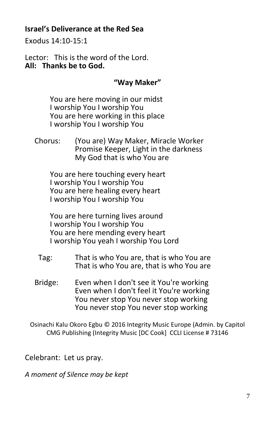#### **Israel's Deliverance at the Red Sea**

Exodus 14:10-15:1

Lector: This is the word of the Lord. **All: Thanks be to God.** 

#### **"Way Maker"**

You are here moving in our midst I worship You I worship You You are here working in this place I worship You I worship You

 Chorus: (You are) Way Maker, Miracle Worker Promise Keeper, Light in the darkness My God that is who You are

You are here touching every heart I worship You I worship You You are here healing every heart I worship You I worship You

You are here turning lives around I worship You I worship You You are here mending every heart I worship You yeah I worship You Lord

- Tag: That is who You are, that is who You are That is who You are, that is who You are
- Bridge: Even when I don't see it You're working Even when I don't feel it You're working You never stop You never stop working You never stop You never stop working

Osinachi Kalu Okoro Egbu © 2016 Integrity Music Europe (Admin. by Capitol CMG Publishing (Integrity Music [DC Cook] CCLI License # 73146

Celebrant: Let us pray.

*A moment of Silence may be kept*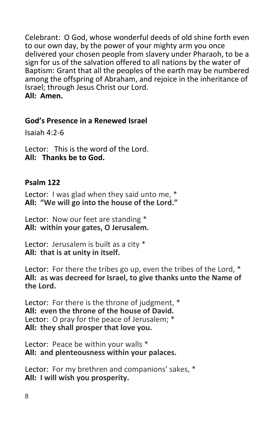Celebrant: O God, whose wonderful deeds of old shine forth even to our own day, by the power of your mighty arm you once delivered your chosen people from slavery under Pharaoh, to be a sign for us of the salvation offered to all nations by the water of Baptism: Grant that all the peoples of the earth may be numbered among the offspring of Abraham, and rejoice in the inheritance of Israel; through Jesus Christ our Lord. **All: Amen.**

#### **God's Presence in a Renewed Israel**

Isaiah 4:2-6

Lector: This is the word of the Lord. **All: Thanks be to God.** 

#### **Psalm 122**

Lector: I was glad when they said unto me, \* **All: "We will go into the house of the Lord."**

Lector: Now our feet are standing \* **All: within your gates, O Jerusalem.**

Lector: Jerusalem is built as a city \* **All: that is at unity in itself.**

Lector: For there the tribes go up, even the tribes of the Lord, \* **All: as was decreed for Israel, to give thanks unto the Name of the Lord.**

Lector: For there is the throne of judgment, \* **All: even the throne of the house of David.** Lector: O pray for the peace of Jerusalem; \* **All: they shall prosper that love you.**

Lector: Peace be within your walls \* **All: and plenteousness within your palaces.**

Lector: For my brethren and companions' sakes, \* **All: I will wish you prosperity.**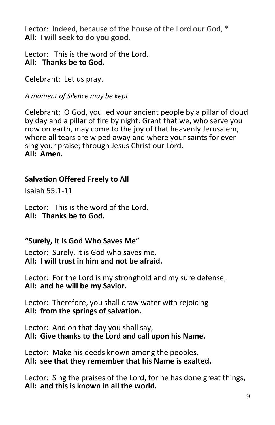Lector: Indeed, because of the house of the Lord our God, \* **All: I will seek to do you good.**

Lector: This is the word of the Lord. **All: Thanks be to God.** 

Celebrant: Let us pray.

*A moment of Silence may be kept*

Celebrant: O God, you led your ancient people by a pillar of cloud by day and a pillar of fire by night: Grant that we, who serve you now on earth, may come to the joy of that heavenly Jerusalem, where all tears are wiped away and where your saints for ever sing your praise; through Jesus Christ our Lord. **All: Amen.**

#### **Salvation Offered Freely to All**

Isaiah 55:1-11

Lector: This is the word of the Lord. **All: Thanks be to God.** 

#### **"Surely, It Is God Who Saves Me"**

Lector: Surely, it is God who saves me. **All: I will trust in him and not be afraid.**

Lector: For the Lord is my stronghold and my sure defense, **All: and he will be my Savior.**

Lector: Therefore, you shall draw water with rejoicing **All: from the springs of salvation.**

Lector: And on that day you shall say, **All: Give thanks to the Lord and call upon his Name.**

Lector: Make his deeds known among the peoples. **All: see that they remember that his Name is exalted.**

Lector: Sing the praises of the Lord, for he has done great things, **All: and this is known in all the world.**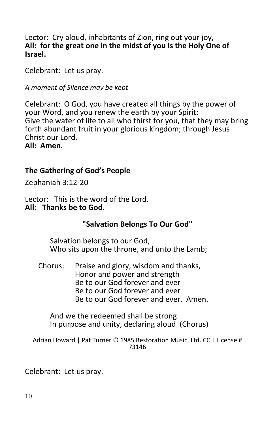Lector: Cry aloud, inhabitants of Zion, ring out your joy, **All: for the great one in the midst of you is the Holy One of Israel.**

Celebrant: Let us pray.

*A moment of Silence may be kept*

Celebrant: O God, you have created all things by the power of your Word, and you renew the earth by your Spirit: Give the water of life to all who thirst for you, that they may bring forth abundant fruit in your glorious kingdom; through Jesus Christ our Lord.

**All: Amen**.

#### **The Gathering of God's People**

Zephaniah 3:12-20

Lector: This is the word of the Lord. **All: Thanks be to God.** 

#### **"Salvation Belongs To Our God"**

Salvation belongs to our God, Who sits upon the throne, and unto the Lamb;

 Chorus: Praise and glory, wisdom and thanks, Honor and power and strength Be to our God forever and ever Be to our God forever and ever Be to our God forever and ever. Amen.

And we the redeemed shall be strong In purpose and unity, declaring aloud (Chorus)

Adrian Howard | Pat Turner © 1985 Restoration Music, Ltd. CCLI License # 73146

Celebrant: Let us pray.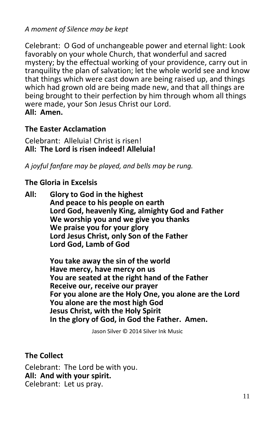*A moment of Silence may be kept*

Celebrant: O God of unchangeable power and eternal light: Look favorably on your whole Church, that wonderful and sacred mystery; by the effectual working of your providence, carry out in tranquility the plan of salvation; let the whole world see and know that things which were cast down are being raised up, and things which had grown old are being made new, and that all things are being brought to their perfection by him through whom all things were made, your Son Jesus Christ our Lord. **All: Amen.**

#### **The Easter Acclamation**

Celebrant: Alleluia! Christ is risen! **All: The Lord is risen indeed! Alleluia!**

*A joyful fanfare may be played, and bells may be rung.*

#### **The Gloria in Excelsis**

**All: Glory to God in the highest And peace to his people on earth Lord God, heavenly King, almighty God and Father We worship you and we give you thanks We praise you for your glory Lord Jesus Christ, only Son of the Father Lord God, Lamb of God**

> **You take away the sin of the world Have mercy, have mercy on us You are seated at the right hand of the Father Receive our, receive our prayer For you alone are the Holy One, you alone are the Lord You alone are the most high God Jesus Christ, with the Holy Spirit In the glory of God, in God the Father. Amen.**

> > Jason Silver © 2014 Silver Ink Music

#### **The Collect**

Celebrant: The Lord be with you. **All: And with your spirit.** Celebrant: Let us pray.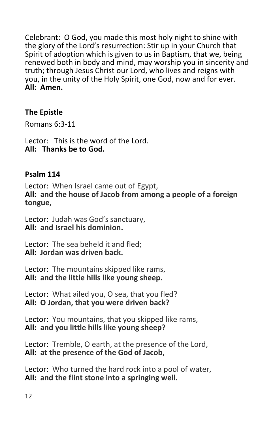Celebrant: O God, you made this most holy night to shine with the glory of the Lord's resurrection: Stir up in your Church that Spirit of adoption which is given to us in Baptism, that we, being renewed both in body and mind, may worship you in sincerity and truth; through Jesus Christ our Lord, who lives and reigns with you, in the unity of the Holy Spirit, one God, now and for ever. **All: Amen.**

#### **The Epistle**

Romans 6:3-11

Lector: This is the word of the Lord. **All: Thanks be to God.** 

#### **Psalm 114**

Lector: When Israel came out of Egypt, **All: and the house of Jacob from among a people of a foreign tongue,**

Lector: Judah was God's sanctuary, **All: and Israel his dominion.**

Lector: The sea beheld it and fled; **All: Jordan was driven back.**

Lector: The mountains skipped like rams, **All: and the little hills like young sheep.**

Lector: What ailed you, O sea, that you fled? **All: O Jordan, that you were driven back?**

Lector: You mountains, that you skipped like rams, **All: and you little hills like young sheep?**

Lector: Tremble, O earth, at the presence of the Lord, **All: at the presence of the God of Jacob,**

Lector: Who turned the hard rock into a pool of water, **All: and the flint stone into a springing well.**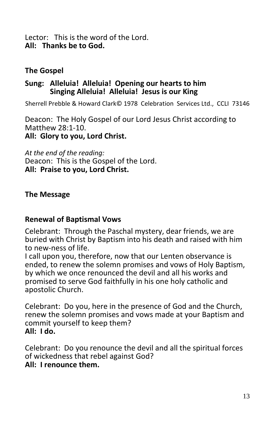#### Lector: This is the word of the Lord. **All: Thanks be to God.**

#### **The Gospel**

#### **Sung: Alleluia! Alleluia! Opening our hearts to him Singing Alleluia! Alleluia! Jesus is our King**

Sherrell Prebble & Howard Clark© 1978 Celebration Services Ltd., CCLI 73146

Deacon: The Holy Gospel of our Lord Jesus Christ according to Matthew 28:1-10.

#### **All: Glory to you, Lord Christ.**

*At the end of the reading:* Deacon: This is the Gospel of the Lord. **All: Praise to you, Lord Christ.**

**The Message**

#### **Renewal of Baptismal Vows**

Celebrant: Through the Paschal mystery, dear friends, we are buried with Christ by Baptism into his death and raised with him to new-ness of life.

I call upon you, therefore, now that our Lenten observance is ended, to renew the solemn promises and vows of Holy Baptism, by which we once renounced the devil and all his works and promised to serve God faithfully in his one holy catholic and apostolic Church.

Celebrant: Do you, here in the presence of God and the Church, renew the solemn promises and vows made at your Baptism and commit yourself to keep them? **All: I do.**

Celebrant: Do you renounce the devil and all the spiritual forces of wickedness that rebel against God? **All: I renounce them.**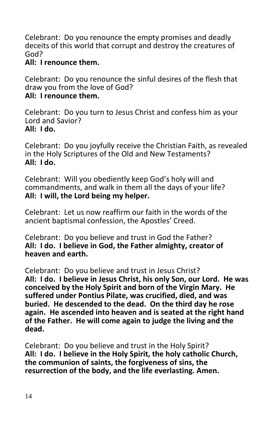Celebrant: Do you renounce the empty promises and deadly deceits of this world that corrupt and destroy the creatures of God?

#### **All: I renounce them.**

Celebrant: Do you renounce the sinful desires of the flesh that draw you from the love of God? **All: I renounce them.**

Celebrant: Do you turn to Jesus Christ and confess him as your Lord and Savior? **All: I do.**

Celebrant: Do you joyfully receive the Christian Faith, as revealed in the Holy Scriptures of the Old and New Testaments? **All: I do.**

Celebrant: Will you obediently keep God's holy will and commandments, and walk in them all the days of your life? **All: I will, the Lord being my helper.**

Celebrant: Let us now reaffirm our faith in the words of the ancient baptismal confession, the Apostles' Creed.

Celebrant: Do you believe and trust in God the Father? **All: I do. I believe in God, the Father almighty, creator of heaven and earth.**

Celebrant: Do you believe and trust in Jesus Christ? **All: I do. I believe in Jesus Christ, his only Son, our Lord. He was conceived by the Holy Spirit and born of the Virgin Mary. He suffered under Pontius Pilate, was crucified, died, and was buried. He descended to the dead. On the third day he rose again. He ascended into heaven and is seated at the right hand of the Father. He will come again to judge the living and the dead.**

Celebrant: Do you believe and trust in the Holy Spirit? **All: I do. I believe in the Holy Spirit, the holy catholic Church, the communion of saints, the forgiveness of sins, the resurrection of the body, and the life everlasting. Amen.**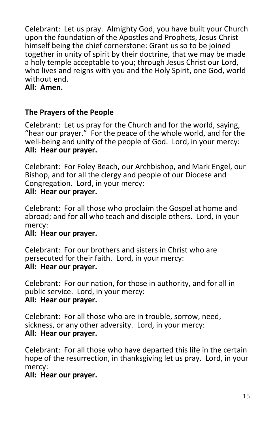Celebrant: Let us pray. Almighty God, you have built your Church upon the foundation of the Apostles and Prophets, Jesus Christ himself being the chief cornerstone: Grant us so to be joined together in unity of spirit by their doctrine, that we may be made a holy temple acceptable to you; through Jesus Christ our Lord, who lives and reigns with you and the Holy Spirit, one God, world without end.

**All: Amen.**

#### **The Prayers of the People**

Celebrant: Let us pray for the Church and for the world, saying, "hear our prayer." For the peace of the whole world, and for the well-being and unity of the people of God. Lord, in your mercy: **All: Hear our prayer.** 

Celebrant: For Foley Beach, our Archbishop, and Mark Engel, our Bishop, and for all the clergy and people of our Diocese and Congregation. Lord, in your mercy:

#### **All: Hear our prayer.**

Celebrant: For all those who proclaim the Gospel at home and abroad; and for all who teach and disciple others. Lord, in your mercy:

#### **All: Hear our prayer.**

Celebrant: For our brothers and sisters in Christ who are persecuted for their faith. Lord, in your mercy: **All: Hear our prayer.** 

Celebrant: For our nation, for those in authority, and for all in public service. Lord, in your mercy: **All: Hear our prayer.** 

Celebrant: For all those who are in trouble, sorrow, need, sickness, or any other adversity. Lord, in your mercy: **All: Hear our prayer.** 

Celebrant: For all those who have departed this life in the certain hope of the resurrection, in thanksgiving let us pray. Lord, in your mercy:

#### **All: Hear our prayer.**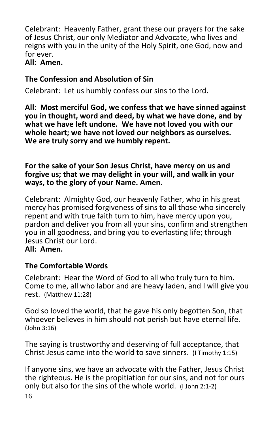Celebrant: Heavenly Father, grant these our prayers for the sake of Jesus Christ, our only Mediator and Advocate, who lives and reigns with you in the unity of the Holy Spirit, one God, now and for ever.

#### **All: Amen.**

#### **The Confession and Absolution of Sin**

Celebrant: Let us humbly confess our sins to the Lord.

**All**: **Most merciful God, we confess that we have sinned against you in thought, word and deed, by what we have done, and by what we have left undone. We have not loved you with our whole heart; we have not loved our neighbors as ourselves. We are truly sorry and we humbly repent.**

#### **For the sake of your Son Jesus Christ, have mercy on us and forgive us; that we may delight in your will, and walk in your ways, to the glory of your Name. Amen.**

Celebrant: Almighty God, our heavenly Father, who in his great mercy has promised forgiveness of sins to all those who sincerely repent and with true faith turn to him, have mercy upon you, pardon and deliver you from all your sins, confirm and strengthen you in all goodness, and bring you to everlasting life; through Jesus Christ our Lord. **All: Amen.**

#### **The Comfortable Words**

Celebrant: Hear the Word of God to all who truly turn to him. Come to me, all who labor and are heavy laden, and I will give you rest. (Matthew 11:28)

God so loved the world, that he gave his only begotten Son, that whoever believes in him should not perish but have eternal life. (John 3:16)

The saying is trustworthy and deserving of full acceptance, that Christ Jesus came into the world to save sinners. (I Timothy 1:15)

If anyone sins, we have an advocate with the Father, Jesus Christ the righteous. He is the propitiation for our sins, and not for ours only but also for the sins of the whole world. (I John 2:1-2)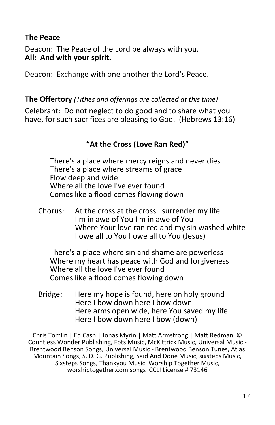#### **The Peace**

Deacon:The Peace of the Lord be always with you. **All: And with your spirit.**

Deacon: Exchange with one another the Lord's Peace.

**The Offertory** *(Tithes and offerings are collected at this time)*

Celebrant: Do not neglect to do good and to share what you have, for such sacrifices are pleasing to God. (Hebrews 13:16)

#### **"At the Cross (Love Ran Red)"**

There's a place where mercy reigns and never dies There's a place where streams of grace Flow deep and wide Where all the love I've ever found Comes like a flood comes flowing down

 Chorus: At the cross at the cross I surrender my life I'm in awe of You I'm in awe of You Where Your love ran red and my sin washed white I owe all to You I owe all to You (Jesus)

There's a place where sin and shame are powerless Where my heart has peace with God and forgiveness Where all the love I've ever found Comes like a flood comes flowing down

 Bridge: Here my hope is found, here on holy ground Here I bow down here I bow down Here arms open wide, here You saved my life Here I bow down here I bow (down)

Chris Tomlin | Ed Cash | Jonas Myrin | Matt Armstrong | Matt Redman © Brentwood Benson Songs, Universal Music - Brentwood Benson Tunes, Atlas Mountain Songs, S. D. G. Publishing, Said And Done Music, sixsteps Music, Sixsteps Songs, Thankyou Music, Worship Together Music, worshiptogether.com songs CCLI License # 73146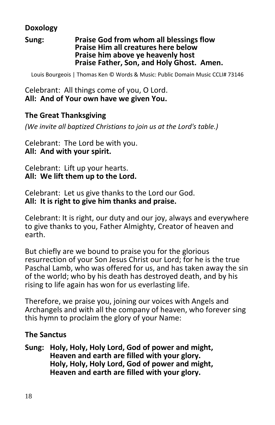#### **Doxology**

#### **Sung: Praise God from whom all blessings flow Praise Him all creatures here below Praise him above ye heavenly host Praise Father, Son, and Holy Ghost. Amen.**

Louis Bourgeois | Thomas Ken © Words & Music: Public Domain Music CCLI# 73146

Celebrant: All things come of you, O Lord. **All: And of Your own have we given You.**

#### **The Great Thanksgiving**

*(We invite all baptized Christians to join us at the Lord's table.)*

Celebrant: The Lord be with you. **All: And with your spirit.**

Celebrant: Lift up your hearts. **All: We lift them up to the Lord.**

Celebrant: Let us give thanks to the Lord our God. **All: It is right to give him thanks and praise.**

Celebrant: It is right, our duty and our joy, always and everywhere to give thanks to you, Father Almighty, Creator of heaven and earth.

But chiefly are we bound to praise you for the glorious resurrection of your Son Jesus Christ our Lord; for he is the true Paschal Lamb, who was offered for us, and has taken away the sin of the world; who by his death has destroyed death, and by his rising to life again has won for us everlasting life.

Therefore, we praise you, joining our voices with Angels and Archangels and with all the company of heaven, who forever sing this hymn to proclaim the glory of your Name:

#### **The Sanctus**

**Sung: Holy, Holy, Holy Lord, God of power and might, Heaven and earth are filled with your glory. Holy, Holy, Holy Lord, God of power and might, Heaven and earth are filled with your glory.**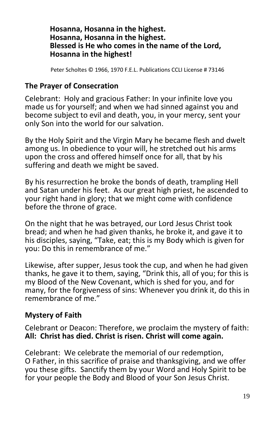**Hosanna, Hosanna in the highest. Hosanna, Hosanna in the highest. Blessed is He who comes in the name of the Lord, Hosanna in the highest!** 

Peter Scholtes © 1966, 1970 F.E.L. Publications CCLI License # 73146

#### **The Prayer of Consecration**

Celebrant: Holy and gracious Father: In your infinite love you made us for yourself; and when we had sinned against you and become subject to evil and death, you, in your mercy, sent your only Son into the world for our salvation.

By the Holy Spirit and the Virgin Mary he became flesh and dwelt among us. In obedience to your will, he stretched out his arms upon the cross and offered himself once for all, that by his suffering and death we might be saved.

By his resurrection he broke the bonds of death, trampling Hell and Satan under his feet. As our great high priest, he ascended to your right hand in glory; that we might come with confidence before the throne of grace.

On the night that he was betrayed, our Lord Jesus Christ took bread; and when he had given thanks, he broke it, and gave it to his disciples, saying, "Take, eat; this is my Body which is given for you: Do this in remembrance of me."

Likewise, after supper, Jesus took the cup, and when he had given thanks, he gave it to them, saying, "Drink this, all of you; for this is my Blood of the New Covenant, which is shed for you, and for many, for the forgiveness of sins: Whenever you drink it, do this in remembrance of me."

#### **Mystery of Faith**

Celebrant or Deacon: Therefore, we proclaim the mystery of faith: **All: Christ has died. Christ is risen. Christ will come again.**

Celebrant: We celebrate the memorial of our redemption, O Father, in this sacrifice of praise and thanksgiving, and we offer you these gifts. Sanctify them by your Word and Holy Spirit to be for your people the Body and Blood of your Son Jesus Christ.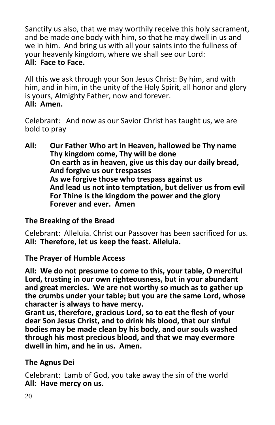Sanctify us also, that we may worthily receive this holy sacrament, and be made one body with him, so that he may dwell in us and we in him. And bring us with all your saints into the fullness of your heavenly kingdom, where we shall see our Lord: **All: Face to Face.**

All this we ask through your Son Jesus Christ: By him, and with him, and in him, in the unity of the Holy Spirit, all honor and glory is yours, Almighty Father, now and forever. **All: Amen.**

Celebrant: And now as our Savior Christ has taught us, we are bold to pray

**All: Our Father Who art in Heaven, hallowed be Thy name Thy kingdom come, Thy will be done On earth as in heaven, give us this day our daily bread, And forgive us our trespasses As we forgive those who trespass against us And lead us not into temptation, but deliver us from evil For Thine is the kingdom the power and the glory Forever and ever. Amen**

#### **The Breaking of the Bread**

Celebrant: Alleluia. Christ our Passover has been sacrificed for us. **All: Therefore, let us keep the feast. Alleluia.** 

**The Prayer of Humble Access**

**All: We do not presume to come to this, your table, O merciful Lord, trusting in our own righteousness, but in your abundant and great mercies. We are not worthy so much as to gather up the crumbs under your table; but you are the same Lord, whose character is always to have mercy.** 

**Grant us, therefore, gracious Lord, so to eat the flesh of your dear Son Jesus Christ, and to drink his blood, that our sinful bodies may be made clean by his body, and our souls washed through his most precious blood, and that we may evermore dwell in him, and he in us. Amen.**

#### **The Agnus Dei**

Celebrant: Lamb of God, you take away the sin of the world **All: Have mercy on us.**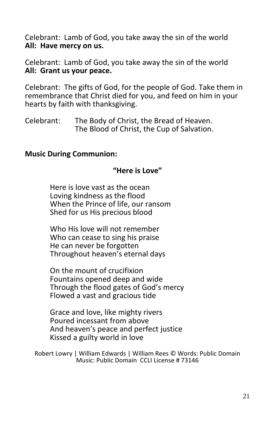Celebrant: Lamb of God, you take away the sin of the world **All: Have mercy on us.** 

Celebrant: Lamb of God, you take away the sin of the world **All: Grant us your peace.**

Celebrant: The gifts of God, for the people of God. Take them in remembrance that Christ died for you, and feed on him in your hearts by faith with thanksgiving.

Celebrant: The Body of Christ, the Bread of Heaven. The Blood of Christ, the Cup of Salvation.

#### **Music During Communion:**

#### **"Here is Love"**

Here is love vast as the ocean Loving kindness as the flood When the Prince of life, our ransom Shed for us His precious blood

Who His love will not remember Who can cease to sing his praise He can never be forgotten Throughout heaven's eternal days

On the mount of crucifixion Fountains opened deep and wide Through the flood gates of God's mercy Flowed a vast and gracious tide

Grace and love, like mighty rivers Poured incessant from above And heaven's peace and perfect justice Kissed a guilty world in love

Robert Lowry | William Edwards | William Rees © Words: Public Domain Music: Public Domain CCLI License # 73146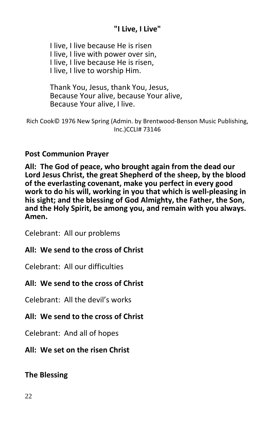### **"I Live, I Live"**

I live, I live because He is risen I live, I live with power over sin, I live, I live because He is risen, I live, I live to worship Him.

Thank You, Jesus, thank You, Jesus, Because Your alive, because Your alive, Because Your alive, I live.

Rich Cook© 1976 New Spring (Admin. by Brentwood-Benson Music Publishing, Inc.)CCLI# 73146

#### **Post Communion Prayer**

**All: The God of peace, who brought again from the dead our Lord Jesus Christ, the great Shepherd of the sheep, by the blood of the everlasting covenant, make you perfect in every good work to do his will, working in you that which is well-pleasing in his sight; and the blessing of God Almighty, the Father, the Son, and the Holy Spirit, be among you, and remain with you always. Amen.**

Celebrant: All our problems

#### **All: We send to the cross of Christ**

Celebrant: All our difficulties

#### **All: We send to the cross of Christ**

Celebrant: All the devil's works

#### **All: We send to the cross of Christ**

Celebrant: And all of hopes

#### **All: We set on the risen Christ**

**The Blessing**